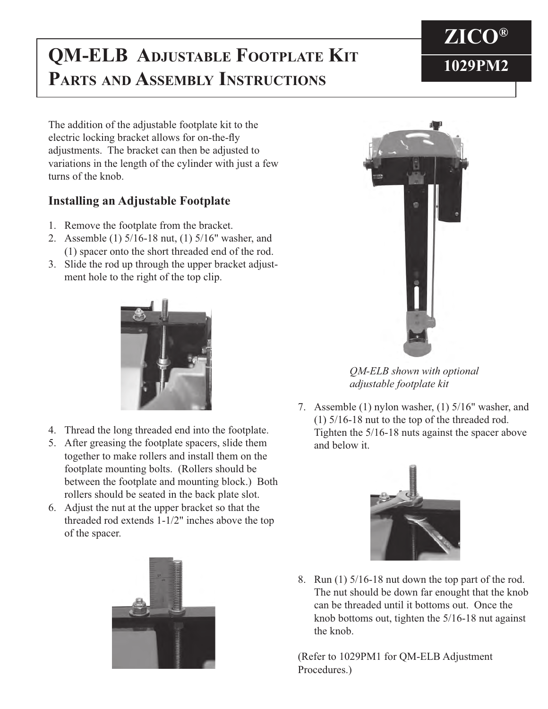## **QM-ELB ADJUSTABLE FOOTPLATE KIT** 1029PM2 **PARTS AND ASSEMBLY INSTRUCTIONS**



## **Installing an Adjustable Footplate**

- 1. Remove the footplate from the bracket.
- 2. Assemble (1) 5/16-18 nut, (1) 5/16" washer, and (1) spacer onto the short threaded end of the rod.
- 3. Slide the rod up through the upper bracket adjust ment hole to the right of the top clip.



- 4. Thread the long threaded end into the footplate.
- 5. After greasing the footplate spacers, slide them together to make rollers and install them on the footplate mounting bolts. (Rollers should be between the footplate and mounting block.) Both rollers should be seated in the back plate slot.
- 6. Adjust the nut at the upper bracket so that the threaded rod extends 1-1/2" inches above the top of the spacer.





*QM-ELB shown with optional adjustable footplate kit*

7. Assemble (1) nylon washer, (1) 5/16" washer, and (1) 5/16-18 nut to the top of the threaded rod. Tighten the 5/16-18 nuts against the spacer above and below it.



8. Run (1) 5/16-18 nut down the top part of the rod. The nut should be down far enought that the knob can be threaded until it bottoms out. Once the knob bottoms out, tighten the 5/16-18 nut against the knob.

(Refer to 1029PM1 for QM-ELB Adjustment Procedures.)

## **ZICO®**